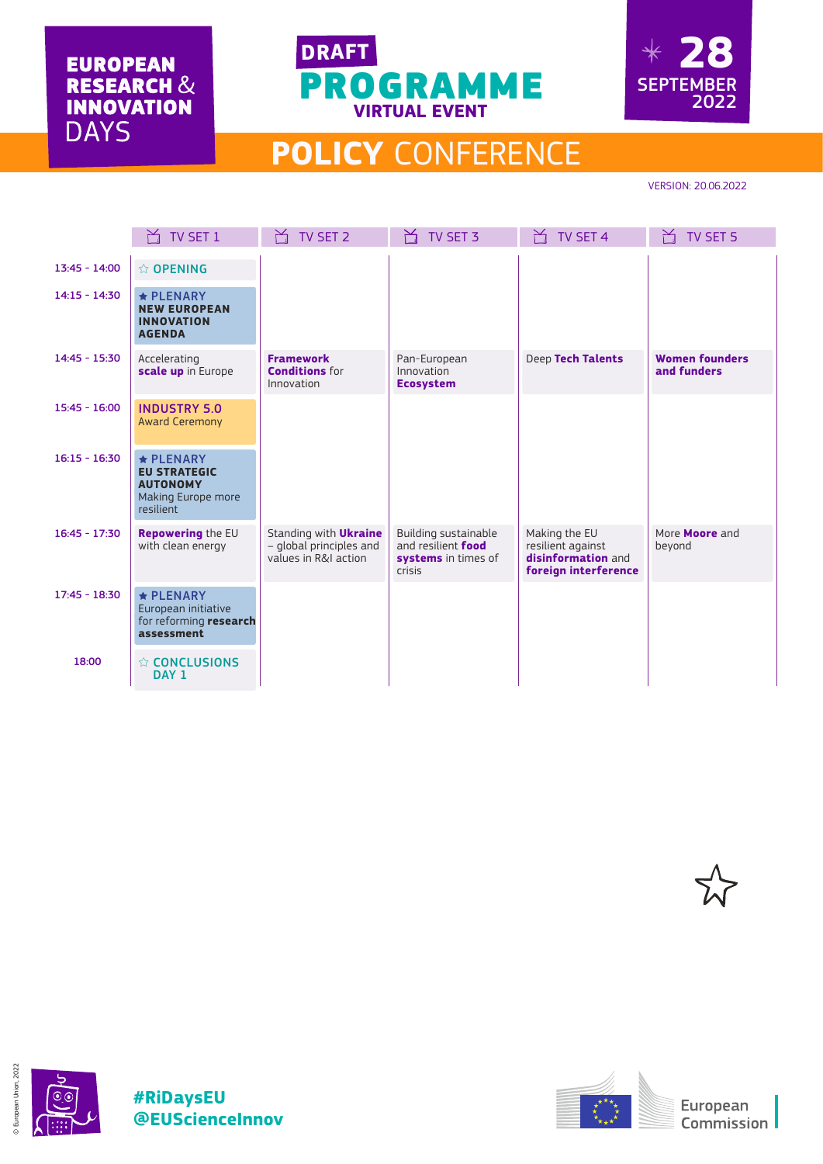**EUROPEAN RESEARCH &<br>INNOVATION DAYS** 





## **POLICY** CONFERENCE

VERSION: 20.06.2022

|                 | TV SET 1                                                                                     | TV SET 2                                                                        | TV SET 3                                                                                         | TV SET 4                                                                         | TV SET 5                             |
|-----------------|----------------------------------------------------------------------------------------------|---------------------------------------------------------------------------------|--------------------------------------------------------------------------------------------------|----------------------------------------------------------------------------------|--------------------------------------|
| $13:45 - 14:00$ | ☆ OPENING                                                                                    |                                                                                 |                                                                                                  |                                                                                  |                                      |
| $14:15 - 14:30$ | $\star$ PLENARY<br><b>NEW EUROPEAN</b><br><b>INNOVATION</b><br><b>AGENDA</b>                 |                                                                                 |                                                                                                  |                                                                                  |                                      |
| $14:45 - 15:30$ | Accelerating<br>scale up in Europe                                                           | <b>Framework</b><br><b>Conditions for</b><br>Innovation                         | Pan-European<br>Innovation<br><b>Ecosystem</b>                                                   | Deep Tech Talents                                                                | <b>Women founders</b><br>and funders |
| $15:45 - 16:00$ | <b>INDUSTRY 5.0</b><br><b>Award Ceremony</b>                                                 |                                                                                 |                                                                                                  |                                                                                  |                                      |
| $16:15 - 16:30$ | $\star$ PLENARY<br><b>EU STRATEGIC</b><br><b>AUTONOMY</b><br>Making Europe more<br>resilient |                                                                                 |                                                                                                  |                                                                                  |                                      |
| $16:45 - 17:30$ | Repowering the EU<br>with clean energy                                                       | Standing with <b>Ukraine</b><br>- global principles and<br>values in R&I action | <b>Building sustainable</b><br>and resilient <b>food</b><br>systems in times of<br><b>crisis</b> | Making the EU<br>resilient against<br>disinformation and<br>foreign interference | More <b>Moore</b> and<br>beyond      |
| $17:45 - 18:30$ | $\star$ PLENARY<br>European initiative<br>for reforming research<br>assessment               |                                                                                 |                                                                                                  |                                                                                  |                                      |
| 18:00           | $\Leftrightarrow$ CONCLUSIONS<br>DAY 1                                                       |                                                                                 |                                                                                                  |                                                                                  |                                      |